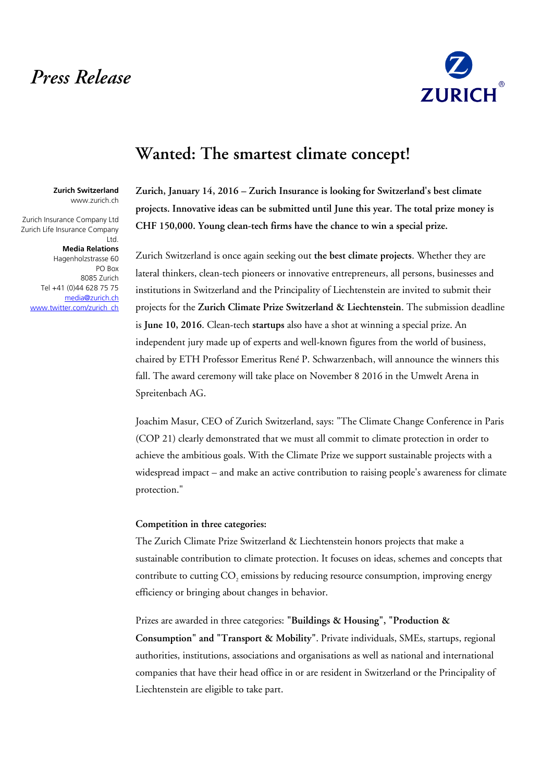# *Press Release*



## **Wanted: The smartest climate concept!**

**Zurich Switzerland** www.zurich.ch

Zurich Insurance Company Ltd Zurich Life Insurance Company Ltd.

### **Media Relations**

Hagenholzstrasse 60 PO Box 8085 Zurich Tel +41 (0)44 628 75 75 [media@zurich.ch](mailto:media@zurich.ch) [www.twitter.com/zurich\\_ch](http://www.twitter.com/zurich_ch) **Zurich, January 14, 2016 – Zurich Insurance is looking for Switzerland's best climate projects. Innovative ideas can be submitted until June this year. The total prize money is CHF 150,000. Young clean-tech firms have the chance to win a special prize.** 

Zurich Switzerland is once again seeking out **the best climate projects**. Whether they are lateral thinkers, clean-tech pioneers or innovative entrepreneurs, all persons, businesses and institutions in Switzerland and the Principality of Liechtenstein are invited to submit their projects for the **Zurich Climate Prize Switzerland & Liechtenstein**. The submission deadline is **June 10, 2016**. Clean-tech **startups** also have a shot at winning a special prize. An independent jury made up of experts and well-known figures from the world of business, chaired by ETH Professor Emeritus René P. Schwarzenbach, will announce the winners this fall. The award ceremony will take place on November 8 2016 in the Umwelt Arena in Spreitenbach AG.

Joachim Masur, CEO of Zurich Switzerland, says: "The Climate Change Conference in Paris (COP 21) clearly demonstrated that we must all commit to climate protection in order to achieve the ambitious goals. With the Climate Prize we support sustainable projects with a widespread impact – and make an active contribution to raising people's awareness for climate protection."

### **Competition in three categories:**

The Zurich Climate Prize Switzerland & Liechtenstein honors projects that make a sustainable contribution to climate protection. It focuses on ideas, schemes and concepts that contribute to cutting  $\mathrm{CO}_2$  emissions by reducing resource consumption, improving energy efficiency or bringing about changes in behavior.

Prizes are awarded in three categories: **"Buildings & Housing", "Production & Consumption" and "Transport & Mobility"**. Private individuals, SMEs, startups, regional authorities, institutions, associations and organisations as well as national and international companies that have their head office in or are resident in Switzerland or the Principality of Liechtenstein are eligible to take part.